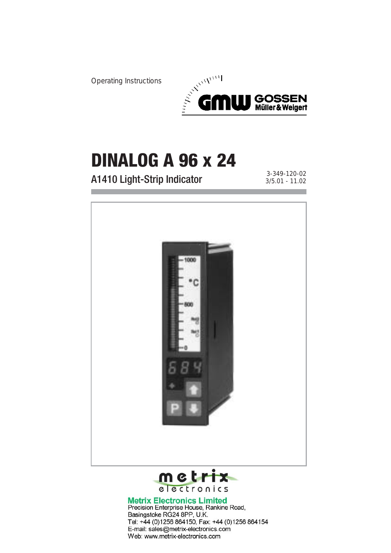Operating Instructions



# **DINALOG A 96 x 24**

A1410 Light-Strip Indicator 3-349-120-02

3/5.01 - 11.02



Precision Enterprise House, Rankine Road, Basingstoke RG24 8PP, U.K. Tel: +44 (0)1256 864150, Fax: +44 (0)1256 864154 E-mail: sales@metrix-electronics.com Web: www.metrix-electronics.com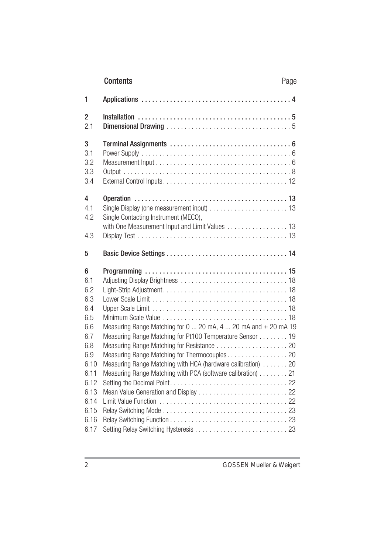|                                                                                                                          | Contents                                                                                                                                                                                                                                                                                                                    | Page |
|--------------------------------------------------------------------------------------------------------------------------|-----------------------------------------------------------------------------------------------------------------------------------------------------------------------------------------------------------------------------------------------------------------------------------------------------------------------------|------|
| 1                                                                                                                        |                                                                                                                                                                                                                                                                                                                             |      |
| 2<br>2.1                                                                                                                 |                                                                                                                                                                                                                                                                                                                             |      |
| 3<br>3.1<br>3.2<br>3.3<br>3.4                                                                                            |                                                                                                                                                                                                                                                                                                                             |      |
| 4<br>4.1<br>4.2                                                                                                          | Single Contacting Instrument (MECO),<br>with One Measurement Input and Limit Values 13                                                                                                                                                                                                                                      |      |
| 4.3                                                                                                                      |                                                                                                                                                                                                                                                                                                                             |      |
| 5                                                                                                                        |                                                                                                                                                                                                                                                                                                                             |      |
|                                                                                                                          |                                                                                                                                                                                                                                                                                                                             |      |
| 6<br>6.1<br>6.2<br>6.3<br>6.4<br>6.5<br>6.6<br>6.7<br>6.8<br>6.9<br>6.10<br>6.11<br>6.12<br>6.13<br>6.14<br>6.15<br>6.16 | Measuring Range Matching for $0 \dots 20$ mA, $4 \dots 20$ mA and $\pm 20$ mA 19<br>Measuring Range Matching for Pt100 Temperature Sensor 19<br>Measuring Range Matching for Thermocouples 20<br>Measuring Range Matching with HCA (hardware calibration) 20<br>Measuring Range Matching with PCA (software calibration) 21 |      |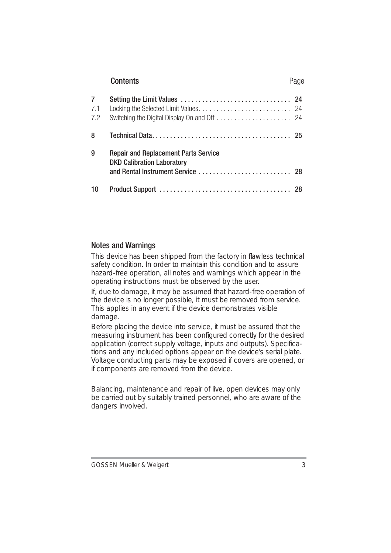|                 | Contents                                                                         | Page |  |
|-----------------|----------------------------------------------------------------------------------|------|--|
| 7<br>7.1<br>7.2 |                                                                                  |      |  |
| 8               |                                                                                  |      |  |
| 9               | <b>Repair and Replacement Parts Service</b><br><b>DKD Calibration Laboratory</b> |      |  |
| 10              |                                                                                  |      |  |

## Notes and Warnings

This device has been shipped from the factory in flawless technical safety condition. In order to maintain this condition and to assure hazard-free operation, all notes and warnings which appear in the operating instructions must be observed by the user.

If, due to damage, it may be assumed that hazard-free operation of the device is no longer possible, it must be removed from service. This applies in any event if the device demonstrates visible damage.

Before placing the device into service, it must be assured that the measuring instrument has been configured correctly for the desired application (correct supply voltage, inputs and outputs). Specifications and any included options appear on the device's serial plate. Voltage conducting parts may be exposed if covers are opened, or if components are removed from the device.

Balancing, maintenance and repair of live, open devices may only be carried out by suitably trained personnel, who are aware of the dangers involved.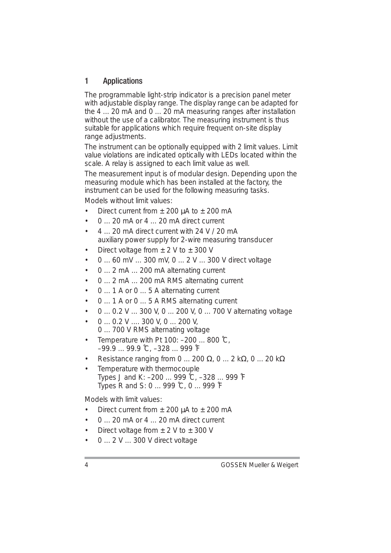# 1 Applications

The programmable light-strip indicator is a precision panel meter with adjustable display range. The display range can be adapted for the 4 ... 20 mA and 0 ... 20 mA measuring ranges after installation without the use of a calibrator. The measuring instrument is thus suitable for applications which require frequent on-site display range adjustments.

The instrument can be optionally equipped with 2 limit values. Limit value violations are indicated optically with LEDs located within the scale. A relay is assigned to each limit value as well.

The measurement input is of modular design. Depending upon the measuring module which has been installed at the factory, the instrument can be used for the following measuring tasks.

Models without limit values:

- Direct current from  $\pm$  200  $\mu$ A to  $\pm$  200 mA
- 0 ... 20 mA or 4 ... 20 mA direct current
- 4 ... 20 mA direct current with 24 V / 20 mA auxiliary power supply for 2-wire measuring transducer
- Direct voltage from  $\pm$  2 V to  $\pm$  300 V
- 0 ... 60 mV ... 300 mV, 0 ... 2 V ... 300 V direct voltage
- 0 ... 2 mA ... 200 mA alternating current
- 0 ... 2 mA ... 200 mA RMS alternating current
- 0 ... 1 A or 0 ... 5 A alternating current
- 0 ... 1 A or 0 ... 5 A RMS alternating current
- 0 ... 0.2 V ... 300 V, 0 ... 200 V, 0 ... 700 V alternating voltage
- 0 ... 0.2 V .... 300 V, 0 ... 200 V, 0 ... 700 V RMS alternating voltage
- Temperature with Pt 100: –200 ... 800 ˚C, –99.9 ... 99.9 ˚C, –328 ... 999 ˚F
- Resistance ranging from 0 ... 200  $\Omega$ , 0 ... 2 k $\Omega$ , 0 ... 20 k $\Omega$
- Temperature with thermocouple Types J and K: –200 ... 999 ˚C, –328 ... 999 ˚F Types R and S: 0 ... 999 ˚C, 0 ... 999 ˚F

Models with limit values:

- Direct current from  $+$  200  $\mu$ A to  $+$  200 mA
- 0 ... 20 mA or 4 ... 20 mA direct current
- Direct voltage from  $\pm$  2 V to  $\pm$  300 V
- 0 ... 2 V ... 300 V direct voltage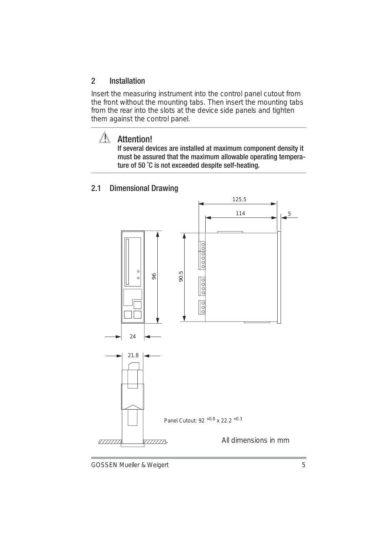# 2 Installation

Insert the measuring instrument into the control panel cutout from the front without the mounting tabs. Then insert the mounting tabs from the rear into the slots at the device side panels and tighten them against the control panel.

# **Attention!**

If several devices are installed at maximum component density it must be assured that the maximum allowable operating temperature of 50 ˚C is not exceeded despite self-heating.

## 2.1 Dimensional Drawing

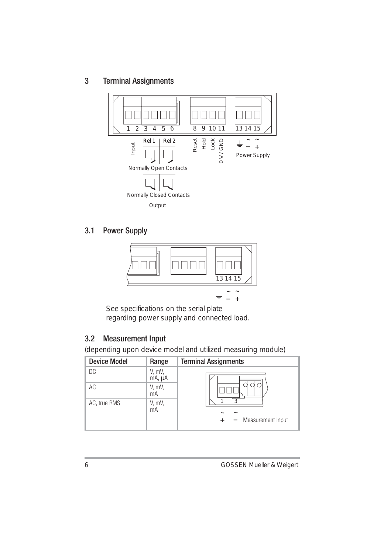3 Terminal Assignments



# 3.1 Power Supply



See specifications on the serial plate regarding power supply and connected load.

# 3.2 Measurement Input

(depending upon device model and utilized measuring module)

| <b>Device Model</b> | Range            | <b>Terminal Assignments</b>          |
|---------------------|------------------|--------------------------------------|
| DC                  | V, mV,<br>mA, µA |                                      |
| AC                  | V, mV,<br>mA     |                                      |
| AC, true RMS        | V, mV,<br>mA     | J<br>$\tilde{}$<br>Measurement Input |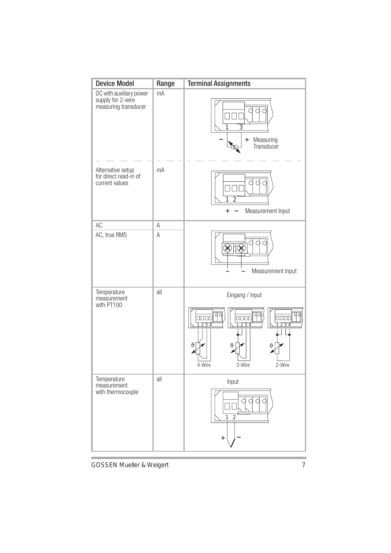| <b>Device Model</b>                                                  | Range | <b>Terminal Assignments</b>                                       |
|----------------------------------------------------------------------|-------|-------------------------------------------------------------------|
| DC with auxiliary power<br>supply for 2-wire<br>measuring transducer | mA    | 3<br>Measuring<br>$\ddot{}$<br>Transducer                         |
| Alternative setup<br>for direct read-in of<br>current values         | mA    | Ċ<br>1<br>2<br>Measurement Input<br>$\ddot{}$                     |
| AC                                                                   | Α     |                                                                   |
| AC, true RMS                                                         | A     | Measurement Input                                                 |
| Temperature<br>measurement<br>with PT100                             | all   | Eingang / Input<br>$\epsilon$<br>ıI<br>4-Wire<br>3-Wire<br>2-Wire |
| Temperature<br>measurement<br>with thermocouple                      | all   | Input<br>$\overline{2}$<br>1<br>$\ddot{}$                         |

GOSSEN Mueller & Weigert 7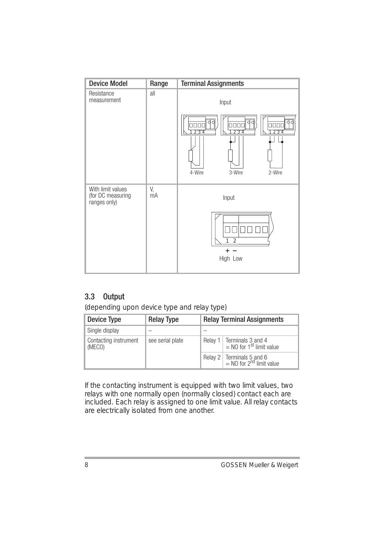| <b>Device Model</b>                                    | Range    | <b>Terminal Assignments</b>                                                                        |
|--------------------------------------------------------|----------|----------------------------------------------------------------------------------------------------|
| Resistance<br>measurement                              | all      | Input                                                                                              |
|                                                        |          | dd<br>d<br>d<br>Ċ<br>3000<br>nnnn<br>חרו<br>234<br>3.<br>つ<br>2<br>л<br>3-Wire<br>2-Wire<br>4-Wire |
| With limit values<br>(for DC measuring<br>ranges only) | V,<br>mA | Input                                                                                              |
|                                                        |          | $\overline{2}$<br>High Low                                                                         |

# 3.3 Output

(depending upon device type and relay type)

| Device Type                     | <b>Relay Type</b>                                                                       | <b>Relay Terminal Assignments</b> |                                                                     |
|---------------------------------|-----------------------------------------------------------------------------------------|-----------------------------------|---------------------------------------------------------------------|
| Single display                  |                                                                                         |                                   |                                                                     |
| Contacting instrument<br>(MECO) | Relay 1   Terminals 3 and 4<br>= NO for 1 <sup>st</sup> limit value<br>see serial plate |                                   |                                                                     |
|                                 |                                                                                         |                                   | Relay 2   Terminals 5 and 6<br>= NO for 2 <sup>nd</sup> limit value |

If the contacting instrument is equipped with two limit values, two relays with one normally open (normally closed) contact each are included. Each relay is assigned to one limit value. All relay contacts are electrically isolated from one another.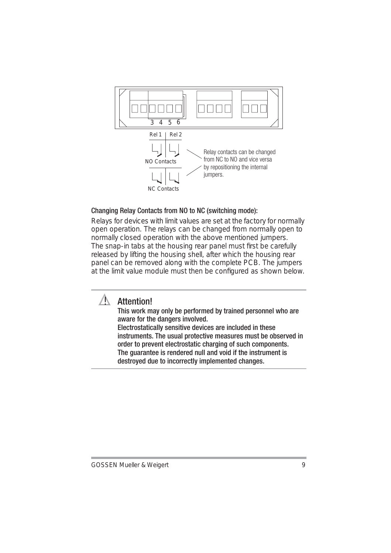

## Changing Relay Contacts from NO to NC (switching mode):

Relays for devices with limit values are set at the factory for normally open operation. The relays can be changed from normally open to normally closed operation with the above mentioned jumpers. The snap-in tabs at the housing rear panel must first be carefully released by lifting the housing shell, after which the housing rear panel can be removed along with the complete PCB. The jumpers at the limit value module must then be configured as shown below.



# **Attention!**

This work may only be performed by trained personnel who are aware for the dangers involved.

Electrostatically sensitive devices are included in these instruments. The usual protective measures must be observed in order to prevent electrostatic charging of such components. The guarantee is rendered null and void if the instrument is destroyed due to incorrectly implemented changes.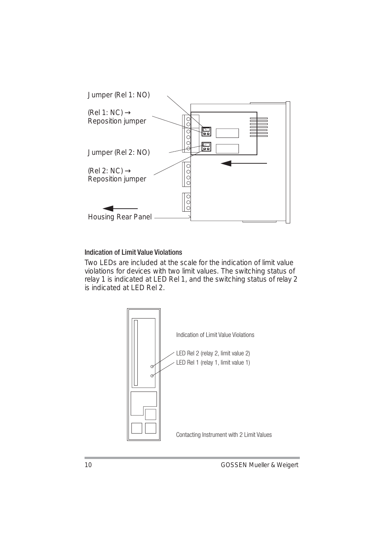

## Indication of Limit Value Violations

Two LEDs are included at the scale for the indication of limit value violations for devices with two limit values. The switching status of relay 1 is indicated at LED Rel 1, and the switching status of relay 2 is indicated at LED Rel 2.

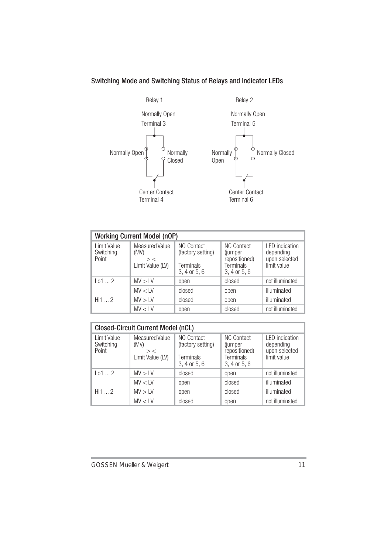# Switching Mode and Switching Status of Relays and Indicator LEDs



Relay 2



| <b>Working Current Model (nOP)</b> |                                                     |                                                              |                                                                            |                                                              |
|------------------------------------|-----------------------------------------------------|--------------------------------------------------------------|----------------------------------------------------------------------------|--------------------------------------------------------------|
| I imit Value<br>Switching<br>Point | Measured Value<br>(MV)<br>$>$ <<br>Limit Value (LV) | NO Contact<br>(factory setting)<br>Terminals<br>3, 4 or 5, 6 | <b>NC Contact</b><br>(jumper<br>repositioned)<br>Terminals<br>3, 4 or 5, 6 | I FD indication<br>depending<br>upon selected<br>limit value |
| 1012                               | MV > IV                                             | open                                                         | closed                                                                     | not illuminated                                              |
|                                    | MV < IV                                             | closed                                                       | open                                                                       | illuminated                                                  |
| Hi 2                               | MV > IV                                             | closed                                                       | open                                                                       | illuminated                                                  |
|                                    | MV < IV                                             | open                                                         | closed                                                                     | not illuminated                                              |

| <b>Closed-Circuit Current Model (nCL)</b>                                                |         |                                                              |                                                                            |                                                              |  |
|------------------------------------------------------------------------------------------|---------|--------------------------------------------------------------|----------------------------------------------------------------------------|--------------------------------------------------------------|--|
| Limit Value<br>Measured Value<br>Switching<br>(MV)<br>Point<br>$>$ <<br>Limit Value (LV) |         | NO Contact<br>(factory setting)<br>Terminals<br>3, 4 or 5, 6 | <b>NC Contact</b><br>(jumper<br>repositioned)<br>Terminals<br>3, 4 or 5, 6 | I FD indication<br>depending<br>upon selected<br>limit value |  |
| 1012                                                                                     | MV > IV | closed                                                       | open                                                                       | not illuminated                                              |  |
|                                                                                          | MV < IV | open                                                         | closed                                                                     | illuminated                                                  |  |
| Hi12                                                                                     | MV > IV | open                                                         | closed                                                                     | illuminated                                                  |  |
|                                                                                          | MV < IV | closed                                                       | open                                                                       | not illuminated                                              |  |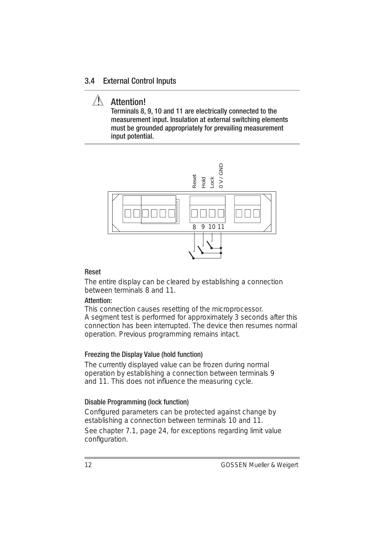#### 3.4 External Control Inputs

# **/ Attention!**

Terminals 8, 9, 10 and 11 are electrically connected to the measurement input. Insulation at external switching elements must be grounded appropriately for prevailing measurement input potential.



#### Reset

The entire display can be cleared by establishing a connection between terminals 8 and 11.

#### Attention:

This connection causes resetting of the microprocessor. A segment test is performed for approximately 3 seconds after this connection has been interrupted. The device then resumes normal operation. Previous programming remains intact.

#### Freezing the Display Value (hold function)

The currently displayed value can be frozen during normal operation by establishing a connection between terminals 9 and 11. This does not influence the measuring cycle.

#### Disable Programming (lock function)

Configured parameters can be protected against change by establishing a connection between terminals 10 and 11.

See chapter 7.1, page 24, for exceptions regarding limit value configuration.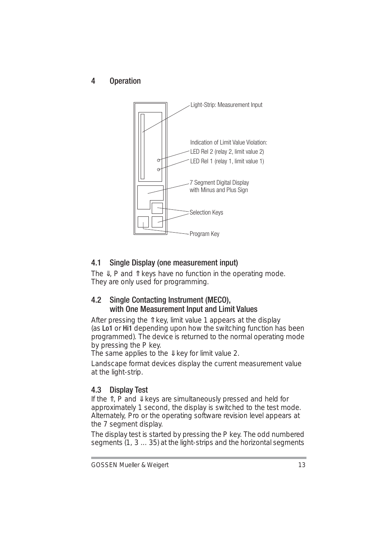4 Operation



# 4.1 Single Display (one measurement input)

The  $\Downarrow$ , P and  $\Uparrow$  keys have no function in the operating mode. They are only used for programming.

# 4.2 Single Contacting Instrument (MECO), with One Measurement Input and Limit Values

After pressing the Îl key, limit value 1 appears at the display (as Lo1 or Hi1 depending upon how the switching function has been programmed). The device is returned to the normal operating mode by pressing the P key.

The same applies to the  $\Downarrow$  key for limit value 2.

Landscape format devices display the current measurement value at the light-strip.

# 4.3 Display Test

If the ⇑, P and ⇓ keys are simultaneously pressed and held for approximately 1 second, the display is switched to the test mode. Alternately, Pro or the operating software revision level appears at the 7 segment display.

The display test is started by pressing the P key. The odd numbered segments (1, 3 ... 35) at the light-strips and the horizontal segments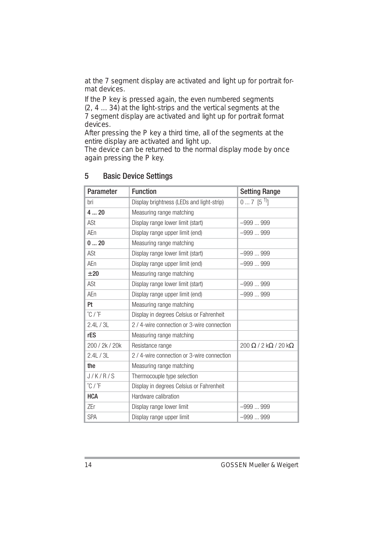at the 7 segment display are activated and light up for portrait format devices.

If the P key is pressed again, the even numbered segments (2, 4 ... 34) at the light-strips and the vertical segments at the 7 segment display are activated and light up for portrait format devices.

After pressing the P key a third time, all of the segments at the entire display are activated and light up.

The device can be returned to the normal display mode by once again pressing the P key.

| Parameter                 | <b>Function</b>                            | <b>Setting Range</b>                  |
|---------------------------|--------------------------------------------|---------------------------------------|
| bri                       | Display brightness (LEDs and light-strip)  | $07$ $[5^{\,1}]$                      |
| 420                       | Measuring range matching                   |                                       |
| ASt                       | Display range lower limit (start)          | $-999999$                             |
| AFn                       | Display range upper limit (end)            | $-999999$                             |
| 020                       | Measuring range matching                   |                                       |
| ASt                       | Display range lower limit (start)          | $-999999$                             |
| AFn                       | Display range upper limit (end)            | $-999999$                             |
| $+20$                     | Measuring range matching                   |                                       |
| ASt                       | Display range lower limit (start)          | $-999999$                             |
| AFn                       | Display range upper limit (end)            | $-999999$                             |
| Pt                        | Measuring range matching                   |                                       |
| $\degree$ C / $\degree$ F | Display in degrees Celsius or Fahrenheit   |                                       |
| 2.4L / 3L                 | 2 / 4-wire connection or 3-wire connection |                                       |
| rES                       | Measuring range matching                   |                                       |
| 200 / 2k / 20k            | Resistance range                           | $200 \Omega / 2 k\Omega / 20 k\Omega$ |
| 2.4L / 3L                 | 2 / 4-wire connection or 3-wire connection |                                       |
| the                       | Measuring range matching                   |                                       |
| J/K/R/S                   | Thermocouple type selection                |                                       |
| $\degree$ C / $\degree$ F | Display in degrees Celsius or Fahrenheit   |                                       |
| <b>HCA</b>                | Hardware calibration                       |                                       |
| 7Fr                       | Display range lower limit                  | $-999999$                             |
| <b>SPA</b>                | Display range upper limit                  | $-999999$                             |

## 5 Basic Device Settings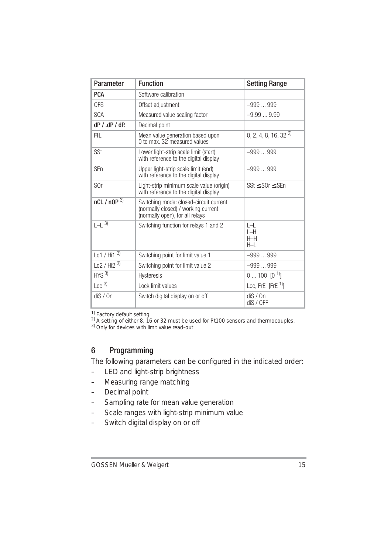| Parameter                  | <b>Function</b>                                                                                                  | <b>Setting Range</b>               |
|----------------------------|------------------------------------------------------------------------------------------------------------------|------------------------------------|
| <b>PCA</b>                 | Software calibration                                                                                             |                                    |
| <b>OFS</b>                 | Offset adjustment                                                                                                | $-999999$                          |
| <b>SCA</b>                 | Measured value scaling factor                                                                                    | $-9.999.99$                        |
| $dP / dP / dP$ .           | Decimal point                                                                                                    |                                    |
| <b>FIL</b>                 | Mean value generation based upon<br>0 to max. 32 measured values                                                 | 0, 2, 4, 8, 16, 32 <sup>2)</sup>   |
| <b>SSt</b>                 | Lower light-strip scale limit (start)<br>with reference to the digital display                                   | $-999999$                          |
| SFn                        | Upper light-strip scale limit (end)<br>with reference to the digital display                                     | $-999999$                          |
| S <sub>Or</sub>            | Light-strip minimum scale value (origin)<br>with reference to the digital display                                | SSt < SOr < SFn                    |
| $nCl / nOP$ <sup>3)</sup>  | Switching mode: closed-circuit current<br>(normally closed) / working current<br>(normally open), for all relays |                                    |
| $[-1, 3)$                  | Switching function for relays 1 and 2                                                                            | $ - $<br>$I-H$<br>$H-H$<br>$H - I$ |
| Lo1 / Hi1 $3)$             | Switching point for limit value 1                                                                                | $-999999$                          |
| $102 /$ Hi <sub>2</sub> 3) | Switching point for limit value 2                                                                                | $-999999$                          |
| $HYS$ <sup>3)</sup>        | Hysteresis                                                                                                       | $0100$ $[0^1]$                     |
| Loc <sup>3</sup>           | Lock limit values                                                                                                | Loc, FrE [FrE $1$ ]                |
| dis/On                     | Switch digital display on or off                                                                                 | dis/On<br>dis/OFF                  |

<sup>1)</sup> Factory default setting<br><sup>2)</sup> A setting of either 8, 16 or 32 must be used for Pt100 sensors and thermocouples.<br><sup>3)</sup> Only for devices with limit value read-out

# 6 Programming

The following parameters can be configured in the indicated order:

- LED and light-strip brightness
- Measuring range matching
- Decimal point
- Sampling rate for mean value generation
- Scale ranges with light-strip minimum value
- Switch digital display on or off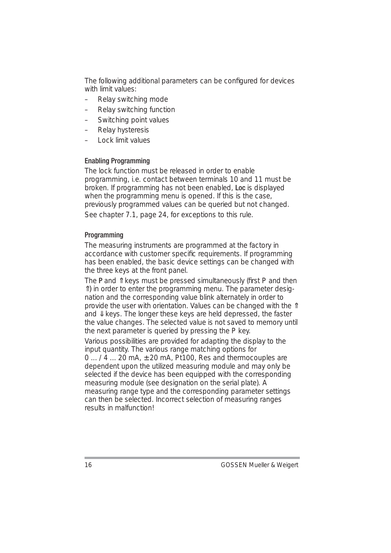The following additional parameters can be configured for devices with limit values:

- Relay switching mode
- Relay switching function
- Switching point values
- Relay hysteresis
- Lock limit values

#### Enabling Programming

The lock function must be released in order to enable programming, i.e. contact between terminals 10 and 11 must be broken. If programming has not been enabled, Loc is displayed when the programming menu is opened. If this is the case, previously programmed values can be queried but not changed. See chapter 7.1, page 24, for exceptions to this rule.

#### Programming

The measuring instruments are programmed at the factory in accordance with customer specific requirements. If programming has been enabled, the basic device settings can be changed with the three keys at the front panel.

The  $P$  and  $\hat{\parallel}$  keys must be pressed simultaneously (first  $P$  and then ⇑) in order to enter the programming menu. The parameter designation and the corresponding value blink alternately in order to provide the user with orientation. Values can be changed with the Î and ⇓ keys. The longer these keys are held depressed, the faster the value changes. The selected value is not saved to memory until the next parameter is queried by pressing the P key.

Various possibilities are provided for adapting the display to the input quantity. The various range matching options for  $0...$  /  $4...$  20 mA,  $\pm$  20 mA, Pt100, Res and thermocouples are dependent upon the utilized measuring module and may only be selected if the device has been equipped with the corresponding measuring module (see designation on the serial plate). A measuring range type and the corresponding parameter settings can then be selected. Incorrect selection of measuring ranges results in malfunction!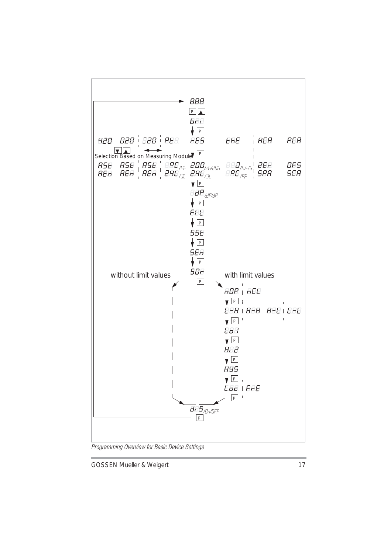

*Programming Overview for Basic Device Settings*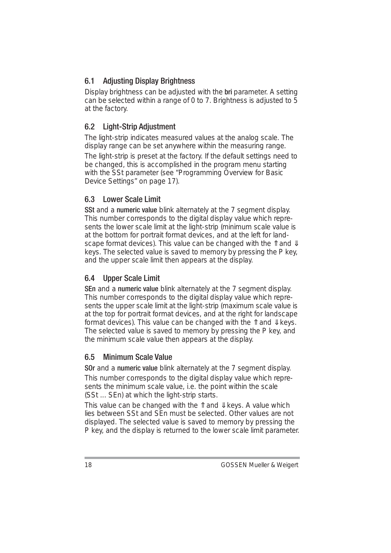# 6.1 Adjusting Display Brightness

Display brightness can be adjusted with the **bri** parameter. A setting can be selected within a range of 0 to 7. Brightness is adjusted to 5 at the factory.

# 6.2 Light-Strip Adjustment

The light-strip indicates measured values at the analog scale. The display range can be set anywhere within the measuring range.

The light-strip is preset at the factory. If the default settings need to be changed, this is accomplished in the program menu starting with the SSt parameter (see "Programming Overview for Basic Device Settings" on page 17).

# 6.3 Lower Scale Limit

SSt and a numeric value blink alternately at the 7 segment display. This number corresponds to the digital display value which represents the lower scale limit at the light-strip (minimum scale value is at the bottom for portrait format devices, and at the left for landscape format devices). This value can be changed with the  $\mathbb{\hat{I}}$  and  $\mathbb{\hat{I}}$ keys. The selected value is saved to memory by pressing the P key, and the upper scale limit then appears at the display.

# 6.4 Upper Scale Limit

SEn and a numeric value blink alternately at the 7 segment display. This number corresponds to the digital display value which represents the upper scale limit at the light-strip (maximum scale value is at the top for portrait format devices, and at the right for landscape format devices). This value can be changed with the  $\ln$  and  $\mu$  keys. The selected value is saved to memory by pressing the P key, and the minimum scale value then appears at the display.

# 6.5 Minimum Scale Value

SOr and a numeric value blink alternately at the 7 segment display.

This number corresponds to the digital display value which represents the minimum scale value, i.e. the point within the scale (SSt ... SEn) at which the light-strip starts.

This value can be changed with the  $\hat{\mathbb{I}}$  and  $\hat{\mathbb{I}}$  keys. A value which lies between SSt and SEn must be selected. Other values are not displayed. The selected value is saved to memory by pressing the P key, and the display is returned to the lower scale limit parameter.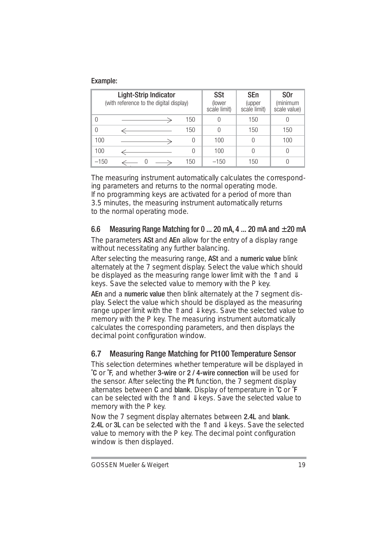#### Example:

|                                         | Light-Strip Indicator |     |                        | SEn                    | S <sub>O</sub> r         |
|-----------------------------------------|-----------------------|-----|------------------------|------------------------|--------------------------|
| (with reference to the digital display) |                       |     | (lower<br>scale limit) | (upper<br>scale limit) | (minimum<br>scale value) |
| 0                                       |                       | 150 | 0                      | 150                    |                          |
| 0                                       |                       | 150 | U                      | 150                    | 150                      |
| 100                                     |                       | 0   | 100                    | 0                      | 100                      |
| 100                                     |                       | 0   | 100                    | 0                      | 0                        |
| $-150$                                  |                       | 150 | $-150$                 | 150                    |                          |

The measuring instrument automatically calculates the corresponding parameters and returns to the normal operating mode. If no programming keys are activated for a period of more than 3.5 minutes, the measuring instrument automatically returns to the normal operating mode.

# 6.6 Measuring Range Matching for 0 ... 20 mA, 4 ... 20 mA and  $\pm$  20 mA

The parameters ASt and AEn allow for the entry of a display range without necessitating any further balancing.

After selecting the measuring range, ASt and a numeric value blink alternately at the 7 segment display. Select the value which should be displayed as the measuring range lower limit with the  $\ln$  and  $\mu$ keys. Save the selected value to memory with the P key.

AEn and a numeric value then blink alternately at the 7 segment display. Select the value which should be displayed as the measuring range upper limit with the  $\hat{\mathbb{I}}$  and  $\hat{\mathbb{I}}$  keys. Save the selected value to memory with the P key. The measuring instrument automatically calculates the corresponding parameters, and then displays the decimal point configuration window.

# 6.7 Measuring Range Matching for Pt100 Temperature Sensor

This selection determines whether temperature will be displayed in ˚C or ˚F, and whether 3-wire or 2 / 4-wire connection will be used for the sensor. After selecting the Pt function, the 7 segment display alternates between C and blank. Display of temperature in °C or  $\tilde{F}$ can be selected with the Îl and  $∄$  keys. Save the selected value to memory with the P key.

Now the 7 segment display alternates between 2.4L and blank. **2.4L** or 3L can be selected with the  $\hat{\parallel}$  and  $\hat{\parallel}$  keys. Save the selected value to memory with the P key. The decimal point configuration window is then displayed.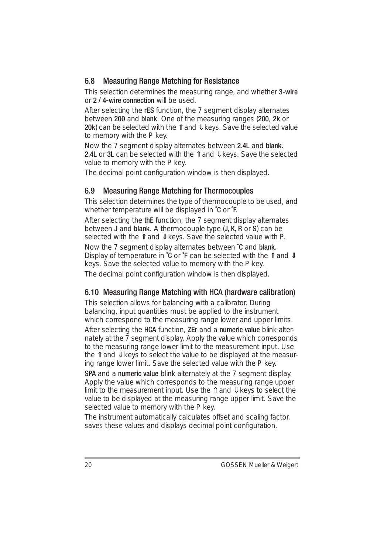# 6.8 Measuring Range Matching for Resistance

This selection determines the measuring range, and whether 3-wire or 2 / 4-wire connection will be used.

After selecting the **rES** function, the 7 seament display alternates between 200 and blank. One of the measuring ranges (200, 2k or 20k) can be selected with the  $\hat{\parallel}$  and  $\hat{\Downarrow}$  keys. Save the selected value to memory with the P key.

Now the 7 segment display alternates between 2.4L and blank. **2.4L** or 3L can be selected with the  $\hat{\parallel}$  and  $\hat{\parallel}$  keys. Save the selected value to memory with the P key.

The decimal point configuration window is then displayed.

## 6.9 Measuring Range Matching for Thermocouples

This selection determines the type of thermocouple to be used, and whether temperature will be displayed in °C or °F.

After selecting the the function, the 7 segment display alternates between **J** and **blank**. A thermocouple type (**J, K, R** or S) can be selected with the  $\hat{\mathbb{I}}$  and  $\hat{\mathbb{I}}$  keys. Save the selected value with P.

Now the 7 segment display alternates between °C and blank. Display of temperature in  $\tilde{C}$  or  $\tilde{F}$  can be selected with the  $\hat{\mathbb{I}}$  and  $\hat{\mathbb{I}}$ keys. Save the selected value to memory with the P key. The decimal point configuration window is then displayed.

# 6.10 Measuring Range Matching with HCA (hardware calibration)

This selection allows for balancing with a calibrator. During balancing, input quantities must be applied to the instrument which correspond to the measuring range lower and upper limits. After selecting the HCA function, ZEr and a numeric value blink alternately at the  $\bar{7}$  segment display. Apply the value which corresponds to the measuring range lower limit to the measurement input. Use the  $\hat{\mathbb{I}}$  and  $\hat{\mathbb{I}}$  keys to select the value to be displayed at the measuring range lower limit. Save the selected value with the P key.

SPA and a numeric value blink alternately at the 7 segment display. Apply the value which corresponds to the measuring range upper limit to the measurement input. Use the  $\hat{\parallel}$  and  $\hat{\parallel}$  keys to select the value to be displayed at the measuring range upper limit. Save the selected value to memory with the P key.

The instrument automatically calculates offset and scaling factor, saves these values and displays decimal point configuration.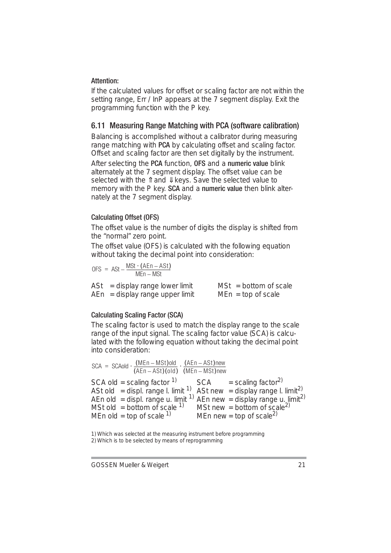#### Attention:

If the calculated values for offset or scaling factor are not within the setting range, Err / InP appears at the 7 segment display. Exit the programming function with the P key.

#### 6.11 Measuring Range Matching with PCA (software calibration)

Balancing is accomplished without a calibrator during measuring range matching with PCA by calculating offset and scaling factor. Offset and scaling factor are then set digitally by the instrument.

After selecting the PCA function, OFS and a numeric value blink alternately at the 7 segment display. The offset value can be selected with the Îl and  $∄$  keys. Save the selected value to memory with the P key. **SCA** and a **numeric value** then blink alternately at the 7 segment display.

#### Calculating Offset (OFS)

The offset value is the number of digits the display is shifted from the "normal" zero point.

The offset value (OFS) is calculated with the following equation without taking the decimal point into consideration:

$$
\text{OFS} \ = \ \text{ASt} - \frac{\text{MSt} \cdot (\text{AEn} - \text{ASt})}{\text{MEn} - \text{MSt}}
$$

| $\text{ASt}$ = display range lower limit | $MSt = bottom of scale$ |
|------------------------------------------|-------------------------|
| $AEn = display$ state ange upper limit   | $MEn = top of scale$    |

#### Calculating Scaling Factor (SCA)

The scaling factor is used to match the display range to the scale range of the input signal. The scaling factor value (SCA) is calculated with the following equation without taking the decimal point into consideration:

SCA old = scaling factor  $1$  SCA = scaling factor<sup>2)</sup> Ast old  $=$  displ. range l. limit  $1$  Ast new  $=$  display range l. limit<sup>2)</sup> AEn old = displ. range u. limit  $1$ ) AEn new = display range u. limit<sup>2)</sup> MSt old = bottom of scale  $1$  MSt new = bottom of scale<sup>2)</sup> MEn old = top of scale  $^{1}$  MEn new = top of scale<sup>2)</sup>  $SCA = SCAold \cdot \frac{(MEn - MSt)old}{(AFn - ASt) (old)} \cdot \frac{(AEn - ASt)new}{(MEn - MSt)new}$ 

1) Which was selected at the measuring instrument before programming 2) Which is to be selected by means of reprogramming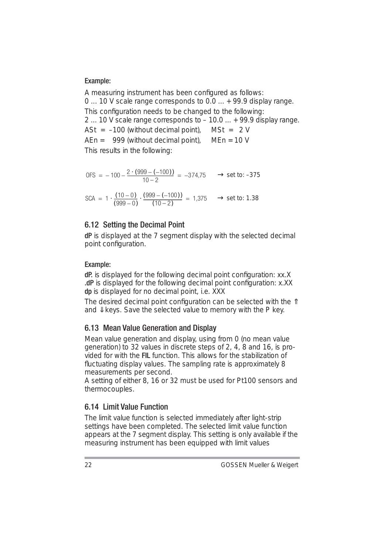#### Example:

A measuring instrument has been configured as follows: 0 ... 10 V scale range corresponds to 0.0 ... + 99.9 display range. This configuration needs to be changed to the following: 2 ... 10 V scale range corresponds to – 10.0 ... + 99.9 display range. ASt =  $-100$  (without decimal point), MSt =  $2 V$  $AFn = 999$  (without decimal point),  $MFn = 10$  V This results in the following:

$$
0FS = -100 - \frac{2 \cdot (999 - (-100))}{10 - 2} = -374.75 \implies set to: -375
$$

 $SCA = 1 \cdot \frac{(10-0)}{(999-0)} \cdot \frac{(999-(-100))}{(10-2)} = 1,375 \rightarrow set$  to: 1.38

#### 6.12 Setting the Decimal Point

dP is displayed at the 7 segment display with the selected decimal point configuration.

#### Example:

dP. is displayed for the following decimal point configuration: xx.X .dP is displayed for the following decimal point configuration: x.XX dp is displayed for no decimal point, i.e. XXX

The desired decimal point configuration can be selected with the  $\hat{\parallel}$ and  $\Downarrow$  keys. Save the selected value to memory with the P key.

#### 6.13 Mean Value Generation and Display

Mean value generation and display, using from 0 (no mean value generation) to 32 values in discrete steps of 2, 4, 8 and 16, is provided for with the FIL function. This allows for the stabilization of fluctuating display values. The sampling rate is approximately 8 measurements per second.

A setting of either 8, 16 or 32 must be used for Pt100 sensors and thermocouples.

# 6.14 Limit Value Function

The limit value function is selected immediately after light-strip settings have been completed. The selected limit value function appears at the 7 segment display. This setting is only available if the measuring instrument has been equipped with limit values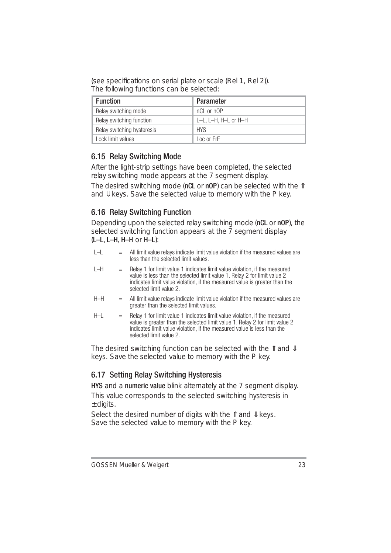(see specifications on serial plate or scale (Rel 1, Rel 2)). The following functions can be selected:

| <b>Function</b>            | Parameter            |
|----------------------------|----------------------|
| Relay switching mode       | nCl or nOP           |
| Relay switching function   | L-L. L-H. H-L or H-H |
| Relay switching hysteresis | HYS.                 |
| Lock limit values          | Loc or FrF           |

# 6.15 Relay Switching Mode

After the light-strip settings have been completed, the selected relay switching mode appears at the 7 segment display.

The desired switching mode (nCL or nOP) can be selected with the  $\hat{\mathbb{I}}$ and  $\Downarrow$  keys. Save the selected value to memory with the P key.

# 6.16 Relay Switching Function

Depending upon the selected relay switching mode (nCL or nOP), the selected switching function appears at the  $\overline{7}$  segment display (L–L, L–H, H–H or H–L):

- $L-L$  = All limit value relays indicate limit value violation if the measured values are less than the selected limit values.
- $L-H$  = Relay 1 for limit value 1 indicates limit value violation, if the measured value is less than the selected limit value 1. Relay 2 for limit value 2 indicates limit value violation, if the measured value is greater than the selected limit value 2.
- $H-H$  = All limit value relays indicate limit value violation if the measured values are greater than the selected limit values.
- $H-I =$ Relay 1 for limit value 1 indicates limit value violation, if the measured value is greater than the selected limit value 1. Relay 2 for limit value 2 indicates limit value violation, if the measured value is less than the selected limit value 2.

The desired switching function can be selected with the  $\mathbb{\hat{}}$  and  $\mathbb{\hat{}}$ keys. Save the selected value to memory with the P key.

# 6.17 Setting Relay Switching Hysteresis

HYS and a numeric value blink alternately at the 7 segment display.

This value corresponds to the selected switching hysteresis in  $±$  digits.

Select the desired number of digits with the  $\hat{\mathbb{I}}$  and  $\hat{\mathbb{I}}$  keys. Save the selected value to memory with the P key.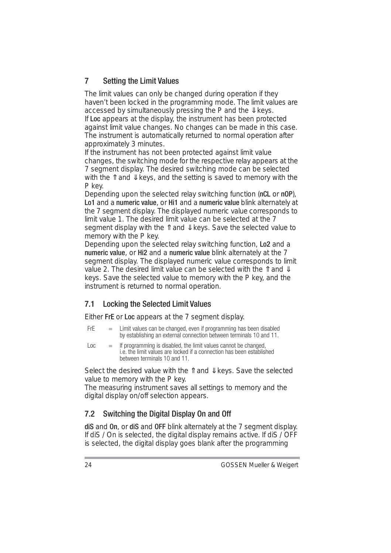# 7 Setting the Limit Values

The limit values can only be changed during operation if they haven't been locked in the programming mode. The limit values are accessed by simultaneously pressing the P and the  $\Downarrow$  keys. If Loc appears at the display, the instrument has been protected against limit value changes. No changes can be made in this case. The instrument is automatically returned to normal operation after approximately 3 minutes.

If the instrument has not been protected against limit value changes, the switching mode for the respective relay appears at the 7 segment display. The desired switching mode can be selected with the  $\hat{\mathbb{I}}$  and  $\hat{\mathbb{I}}$  keys, and the setting is saved to memory with the P key.

Depending upon the selected relay switching function (nCL or nOP), Lo1 and a numeric value, or Hi1 and a numeric value blink alternately at the 7 segment display. The displayed numeric value corresponds to limit value 1. The desired limit value can be selected at the 7 segment display with the  $\hat{\mathbb{I}}$  and  $\hat{\mathbb{I}}$  keys. Save the selected value to memory with the P key.

Depending upon the selected relay switching function, Lo2 and a numeric value, or Hi2 and a numeric value blink alternately at the 7 segment display. The displayed numeric value corresponds to limit value 2. The desired limit value can be selected with the  $\mathbb{\hat{}}$  and  $\mathbb{\hat{}}$ keys. Save the selected value to memory with the P key, and the instrument is returned to normal operation.

# 7.1 Locking the Selected Limit Values

Either FrE or Loc appears at the 7 segment display.

- $Fr =$  = Limit values can be changed, even if programming has been disabled by establishing an external connection between terminals 10 and 11.
- $Loc = If programming is disabled, the limit values cannot be changed,$ i.e. the limit values are locked if a connection has been established between terminals 10 and 11.

Select the desired value with the  $\hat{\mathbb{I}}$  and  $\hat{\mathbb{I}}$  keys. Save the selected value to memory with the P key.

The measuring instrument saves all settings to memory and the digital display on/off selection appears.

# 7.2 Switching the Digital Display On and Off

diS and On, or diS and OFF blink alternately at the 7 segment display. If diS / On is selected, the digital display remains active. If diS / OFF is selected, the digital display goes blank after the programming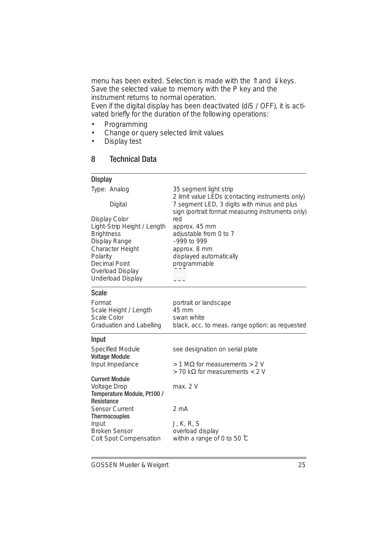menu has been exited. Selection is made with the 1↑ and ↓ keys. Save the selected value to memory with the P key and the instrument returns to normal operation.

Even if the digital display has been deactivated (diS / OFF), it is activated briefly for the duration of the following operations:

- Programming<br>• Change or gue
- Change or query selected limit values<br>• Display test
- Display test

# 8 Technical Data

#### **Display**

| Type: Analog<br>Digital<br>Display Color<br>Light-Strip Height / Length<br><b>Brightness</b><br>Display Range<br>Character Height<br>Polarity<br><b>Decimal Point</b><br>Overload Display<br>Underload Display                                                   | 35 segment light strip<br>2 limit value LEDs (contacting instruments only)<br>7 segment LED, 3 digits with minus and plus<br>sign (portrait format measuring instruments only)<br>red<br>approx. 45 mm<br>adjustable from 0 to 7<br>$-999$ to 999<br>approx. 8 mm<br>displayed automatically<br>programmable<br>8.8.8.<br>888 |
|------------------------------------------------------------------------------------------------------------------------------------------------------------------------------------------------------------------------------------------------------------------|-------------------------------------------------------------------------------------------------------------------------------------------------------------------------------------------------------------------------------------------------------------------------------------------------------------------------------|
| Scale<br>Format<br>Scale Height / Length<br>Scale Color<br>Graduation and Labelling                                                                                                                                                                              | portrait or landscape<br>45 mm<br>swan white<br>black, acc. to meas. range option: as requested                                                                                                                                                                                                                               |
| Input<br>Specified Module<br><b>Voltage Module</b><br>Input Impedance<br><b>Current Module</b><br>Voltage Drop<br>Temperature Module, Pt100 /<br>Resistance<br>Sensor Current<br><b>Thermocouples</b><br>Input<br><b>Broken Sensor</b><br>Colt Spot Compensation | see designation on serial plate<br>$>$ 1 MΩ for measurements $>$ 2 V<br>> 70 kΩ for measurements < 2 V<br>max. 2V<br>2 <sub>m</sub> A<br>J, K, R, S<br>overload display<br>within a range of 0 to 50 °C                                                                                                                       |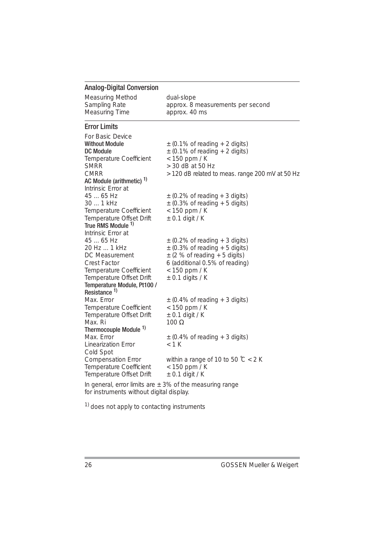# Analog-Digital Conversion

| Measuring Method | dual-slope                        |
|------------------|-----------------------------------|
| Sampling Rate    | approx. 8 measurements per second |
| Measuring Time   | approx. 40 ms                     |

#### Error Limits

| For Basic Device<br><b>Without Module</b><br>DC Module<br>Temperature Coefficient<br><b>SMRR</b> | $\pm$ (0.1% of reading + 2 digits)<br>$\pm$ (0.1% of reading + 2 digits)<br>$<$ 150 ppm / K<br>> 30 dB at 50 Hz |  |
|--------------------------------------------------------------------------------------------------|-----------------------------------------------------------------------------------------------------------------|--|
| <b>CMRR</b>                                                                                      | > 120 dB related to meas. range 200 mV at 50 Hz                                                                 |  |
| AC Module (arithmetic) 1)                                                                        |                                                                                                                 |  |
| Intrinsic Error at                                                                               |                                                                                                                 |  |
| 45  65 Hz                                                                                        | $\pm$ (0.2% of reading + 3 digits)                                                                              |  |
| 30  1 kHz                                                                                        | $\pm$ (0.3% of reading + 5 digits)                                                                              |  |
| Temperature Coefficient                                                                          | $<$ 150 ppm / K                                                                                                 |  |
| Temperature Offset Drift                                                                         | $\pm$ 0.1 digit / K                                                                                             |  |
| True RMS Module 1)                                                                               |                                                                                                                 |  |
| Intrinsic Frror at                                                                               |                                                                                                                 |  |
| 45  65 Hz                                                                                        | $\pm$ (0.2% of reading + 3 digits)                                                                              |  |
| 20 Hz  1 kHz                                                                                     | $\pm$ (0.3% of reading + 5 digits)                                                                              |  |
| DC Measurement                                                                                   | $\pm$ (2 % of reading + 5 digits)                                                                               |  |
| Crest Factor                                                                                     | 6 (additional 0.5% of reading)                                                                                  |  |
| Temperature Coefficient                                                                          | $<$ 150 ppm / K                                                                                                 |  |
| Temperature Offset Drift                                                                         | $\pm$ 0.1 digits / K                                                                                            |  |
| Temperature Module, Pt100 /                                                                      |                                                                                                                 |  |
| Resistance <sup>1)</sup>                                                                         |                                                                                                                 |  |
| Max. Frror                                                                                       | $\pm$ (0.4% of reading + 3 digits)                                                                              |  |
| Temperature Coefficient                                                                          | $<$ 150 ppm / K                                                                                                 |  |
| Temperature Offset Drift                                                                         | $\pm$ 0.1 digit / K                                                                                             |  |
| Max. Ri                                                                                          | $100 \Omega$                                                                                                    |  |
| Thermocouple Module <sup>1)</sup>                                                                |                                                                                                                 |  |
| Max. Error                                                                                       | $\pm$ (0.4% of reading + 3 digits)<br>$<$ 1 K                                                                   |  |
| Linearization Error                                                                              |                                                                                                                 |  |
| Cold Spot                                                                                        |                                                                                                                 |  |
| <b>Compensation Error</b><br>Temperature Coefficient                                             | within a range of 10 to 50 $\degree$ C < 2 K                                                                    |  |
| Temperature Offset Drift                                                                         | $<$ 150 ppm / K<br>$\pm$ 0.1 digit / K                                                                          |  |
|                                                                                                  |                                                                                                                 |  |
| In general, error limits are $\pm$ 3% of the measuring range                                     |                                                                                                                 |  |

for instruments without digital display.

<sup>1)</sup> does not apply to contacting instruments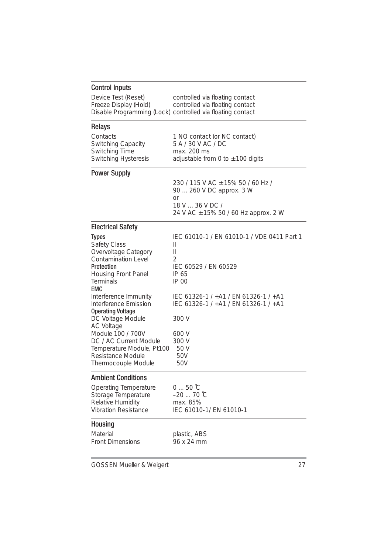| <b>Control Inputs</b>                          |                                                                    |
|------------------------------------------------|--------------------------------------------------------------------|
| Device Test (Reset)<br>Freeze Display (Hold)   | controlled via floating contact<br>controlled via floating contact |
|                                                | Disable Programming (Lock) controlled via floating contact         |
|                                                |                                                                    |
| Relays                                         |                                                                    |
| Contacts                                       | 1 NO contact (or NC contact)                                       |
| Switching Capacity<br>Switching Time           | 5 A / 30 V AC / DC<br>max. 200 ms                                  |
| Switching Hysteresis                           | adjustable from 0 to $\pm$ 100 digits                              |
|                                                |                                                                    |
| <b>Power Supply</b>                            |                                                                    |
|                                                | 230 / 115 V AC ± 15% 50 / 60 Hz /<br>90  260 V DC approx. 3 W      |
|                                                | or                                                                 |
|                                                | 18 V  36 V DC /                                                    |
|                                                | 24 V AC ± 15% 50 / 60 Hz approx. 2 W                               |
| <b>Electrical Safety</b>                       |                                                                    |
| <b>Types</b>                                   | IFC 61010-1 / FN 61010-1 / VDF 0411 Part 1                         |
| Safety Class                                   | Ш                                                                  |
| Overvoltage Category                           | Ш                                                                  |
| Contamination Level<br>Protection              | 2<br>IEC 60529 / EN 60529                                          |
| Housing Front Panel                            | IP 65                                                              |
| Terminals                                      | IP 00                                                              |
| <b>EMC</b>                                     | IEC 61326-1 / +A1 / EN 61326-1 / +A1                               |
| Interference Immunity<br>Interference Emission | IEC 61326-1 / +A1 / EN 61326-1 / +A1                               |
| <b>Operating Voltage</b>                       |                                                                    |
| DC Voltage Module                              | 300 V                                                              |
| <b>AC Voltage</b><br>Module 100 / 700V         | 600 V                                                              |
| DC / AC Current Module                         | 300 V                                                              |
| Temperature Module, Pt100                      | 50 V                                                               |
| Resistance Module                              | 50V                                                                |
| Thermocouple Module                            | 50V                                                                |
| <b>Ambient Conditions</b>                      |                                                                    |
| Operating Temperature                          | $050$ °C                                                           |
| Storage Temperature                            | -20  70 °C                                                         |
| Relative Humidity<br>Vibration Resistance      | max. 85%<br>IEC 61010-1/ EN 61010-1                                |
|                                                |                                                                    |
| Housing                                        |                                                                    |
| Material                                       | plastic, ABS                                                       |
| <b>Front Dimensions</b>                        | 96 x 24 mm                                                         |
|                                                |                                                                    |